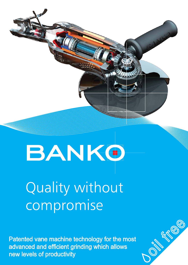

## Quality without compromise

BANKO

Patented vane machine technology for the most advanced and efficient grinding which allows new levels of productivity

**ON STRICKS**